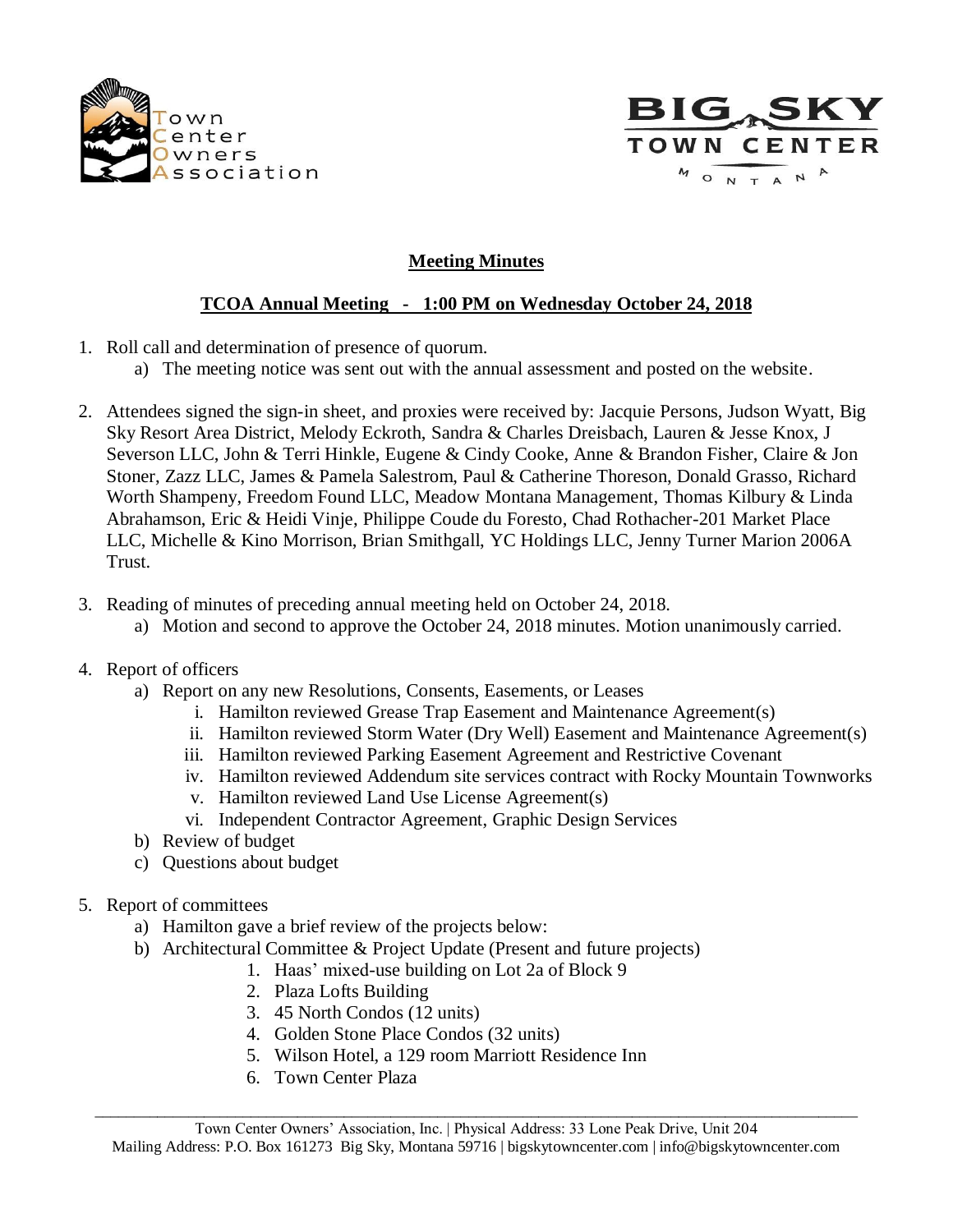



## **Meeting Minutes**

## **TCOA Annual Meeting - 1:00 PM on Wednesday October 24, 2018**

- 1. Roll call and determination of presence of quorum.
	- a) The meeting notice was sent out with the annual assessment and posted on the website.
- 2. Attendees signed the sign-in sheet, and proxies were received by: Jacquie Persons, Judson Wyatt, Big Sky Resort Area District, Melody Eckroth, Sandra & Charles Dreisbach, Lauren & Jesse Knox, J Severson LLC, John & Terri Hinkle, Eugene & Cindy Cooke, Anne & Brandon Fisher, Claire & Jon Stoner, Zazz LLC, James & Pamela Salestrom, Paul & Catherine Thoreson, Donald Grasso, Richard Worth Shampeny, Freedom Found LLC, Meadow Montana Management, Thomas Kilbury & Linda Abrahamson, Eric & Heidi Vinje, Philippe Coude du Foresto, Chad Rothacher-201 Market Place LLC, Michelle & Kino Morrison, Brian Smithgall, YC Holdings LLC, Jenny Turner Marion 2006A Trust.
- 3. Reading of minutes of preceding annual meeting held on October 24, 2018.
	- a) Motion and second to approve the October 24, 2018 minutes. Motion unanimously carried.

## 4. Report of officers

- a) Report on any new Resolutions, Consents, Easements, or Leases
	- i. Hamilton reviewed Grease Trap Easement and Maintenance Agreement(s)
	- ii. Hamilton reviewed Storm Water (Dry Well) Easement and Maintenance Agreement(s)
	- iii. Hamilton reviewed Parking Easement Agreement and Restrictive Covenant
	- iv. Hamilton reviewed Addendum site services contract with Rocky Mountain Townworks
	- v. Hamilton reviewed Land Use License Agreement(s)
	- vi. Independent Contractor Agreement, Graphic Design Services
- b) Review of budget
- c) Questions about budget
- 5. Report of committees
	- a) Hamilton gave a brief review of the projects below:
	- b) Architectural Committee & Project Update (Present and future projects)
		- 1. Haas' mixed-use building on Lot 2a of Block 9
			- 2. Plaza Lofts Building
			- 3. 45 North Condos (12 units)
			- 4. Golden Stone Place Condos (32 units)
			- 5. Wilson Hotel, a 129 room Marriott Residence Inn
			- 6. Town Center Plaza